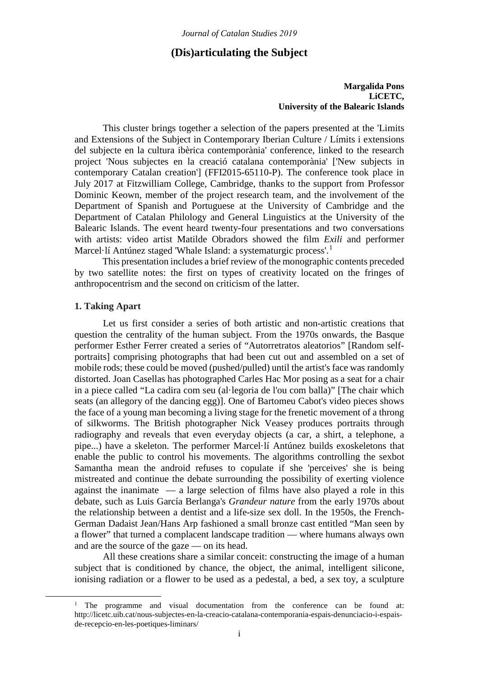# **(Dis)articulating the Subject**

## **Margalida Pons LiCETC, University of the Balearic Islands**

This cluster brings together a selection of the papers presented at the 'Limits and Extensions of the Subject in Contemporary Iberian Culture / Límits i extensions del subjecte en la cultura ibèrica contemporània' conference, linked to the research project 'Nous subjectes en la creació catalana contemporània' ['New subjects in contemporary Catalan creation'] (FFI2015-65110-P). The conference took place in July 2017 at Fitzwilliam College, Cambridge, thanks to the support from Professor Dominic Keown, member of the project research team, and the involvement of the Department of Spanish and Portuguese at the University of Cambridge and the Department of Catalan Philology and General Linguistics at the University of the Balearic Islands. The event heard twenty-four presentations and two conversations with artists: video artist Matilde Obradors showed the film *Exili* and performer Marcel·lí Antúnez staged 'Whale Island: a systematurgic process'.<sup>[1](#page-0-0)</sup>

This presentation includes a brief review of the monographic contents preceded by two satellite notes: the first on types of creativity located on the fringes of anthropocentrism and the second on criticism of the latter.

## **1. Taking Apart**

Let us first consider a series of both artistic and non-artistic creations that question the centrality of the human subject. From the 1970s onwards, the Basque performer Esther Ferrer created a series of "Autorretratos aleatorios" [Random selfportraits] comprising photographs that had been cut out and assembled on a set of mobile rods; these could be moved (pushed/pulled) until the artist's face was randomly distorted. Joan Casellas has photographed Carles Hac Mor posing as a seat for a chair in a piece called "La cadira com seu (al·legoria de l'ou com balla)" [The chair which seats (an allegory of the dancing egg)]. One of Bartomeu Cabot's video pieces shows the face of a young man becoming a living stage for the frenetic movement of a throng of silkworms. The British photographer Nick Veasey produces portraits through radiography and reveals that even everyday objects (a car, a shirt, a telephone, a pipe...) have a skeleton. The performer Marcel·lí Antúnez builds exoskeletons that enable the public to control his movements. The algorithms controlling the sexbot Samantha mean the android refuses to copulate if she 'perceives' she is being mistreated and continue the debate surrounding the possibility of exerting violence against the inanimate  $\overline{a}$  a large selection of films have also played a role in this debate, such as Luis García Berlanga's *Grandeur nature* from the early 1970s about the relationship between a dentist and a life-size sex doll. In the 1950s, the French-German Dadaist Jean/Hans Arp fashioned a small bronze cast entitled "Man seen by a flower" that turned a complacent landscape tradition — where humans always own and are the source of the gaze — on its head.

All these creations share a similar conceit: constructing the image of a human subject that is conditioned by chance, the object, the animal, intelligent silicone, ionising radiation or a flower to be used as a pedestal, a bed, a sex toy, a sculpture

<span id="page-0-0"></span><sup>&</sup>lt;sup>1</sup> The programme and visual documentation from the conference can be found at: http://licetc.uib.cat/nous-subjectes-en-la-creacio-catalana-contemporania-espais-denunciacio-i-espaisde-recepcio-en-les-poetiques-liminars/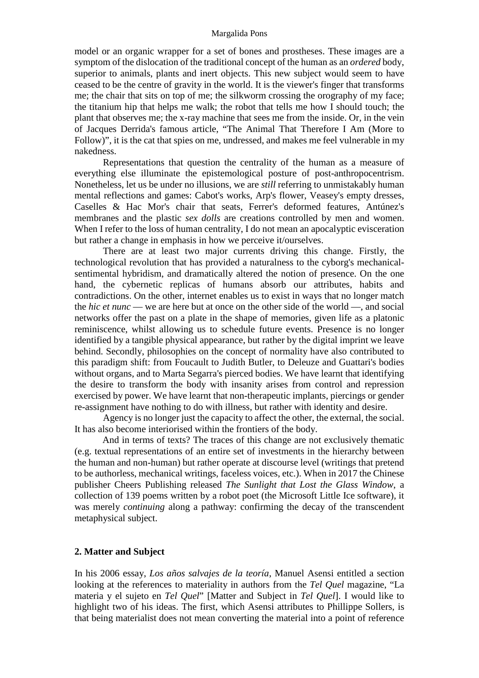#### Margalida Pons

model or an organic wrapper for a set of bones and prostheses. These images are a symptom of the dislocation of the traditional concept of the human as an *ordered* body, superior to animals, plants and inert objects. This new subject would seem to have ceased to be the centre of gravity in the world. It is the viewer's finger that transforms me; the chair that sits on top of me; the silkworm crossing the orography of my face; the titanium hip that helps me walk; the robot that tells me how I should touch; the plant that observes me; the x-ray machine that sees me from the inside. Or, in the vein of Jacques Derrida's famous article, "The Animal That Therefore I Am (More to Follow)", it is the cat that spies on me, undressed, and makes me feel vulnerable in my nakedness.

Representations that question the centrality of the human as a measure of everything else illuminate the epistemological posture of post-anthropocentrism. Nonetheless, let us be under no illusions, we are *still* referring to unmistakably human mental reflections and games: Cabot's works, Arp's flower, Veasey's empty dresses, Caselles & Hac Mor's chair that seats, Ferrer's deformed features, Antúnez's membranes and the plastic *sex dolls* are creations controlled by men and women. When I refer to the loss of human centrality, I do not mean an apocalyptic evisceration but rather a change in emphasis in how we perceive it/ourselves.

There are at least two major currents driving this change. Firstly, the technological revolution that has provided a naturalness to the cyborg's mechanicalsentimental hybridism, and dramatically altered the notion of presence. On the one hand, the cybernetic replicas of humans absorb our attributes, habits and contradictions. On the other, internet enables us to exist in ways that no longer match the *hic et nunc* — we are here but at once on the other side of the world —, and social networks offer the past on a plate in the shape of memories, given life as a platonic reminiscence, whilst allowing us to schedule future events. Presence is no longer identified by a tangible physical appearance, but rather by the digital imprint we leave behind. Secondly, philosophies on the concept of normality have also contributed to this paradigm shift: from Foucault to Judith Butler, to Deleuze and Guattari's bodies without organs, and to Marta Segarra's pierced bodies. We have learnt that identifying the desire to transform the body with insanity arises from control and repression exercised by power. We have learnt that non-therapeutic implants, piercings or gender re-assignment have nothing to do with illness, but rather with identity and desire.

Agency is no longer just the capacity to affect the other, the external, the social. It has also become interiorised within the frontiers of the body.

And in terms of texts? The traces of this change are not exclusively thematic (e.g. textual representations of an entire set of investments in the hierarchy between the human and non-human) but rather operate at discourse level (writings that pretend to be authorless, mechanical writings, faceless voices, etc.). When in 2017 the Chinese publisher Cheers Publishing released *The Sunlight that Lost the Glass Window*, a collection of 139 poems written by a robot poet (the Microsoft Little Ice software), it was merely *continuing* along a pathway: confirming the decay of the transcendent metaphysical subject.

## **2. Matter and Subject**

In his 2006 essay, *Los años salvajes de la teoría*, Manuel Asensi entitled a section looking at the references to materiality in authors from the *Tel Quel* magazine, "La materia y el sujeto en *Tel Quel*" [Matter and Subject in *Tel Quel*]. I would like to highlight two of his ideas. The first, which Asensi attributes to Phillippe Sollers, is that being materialist does not mean converting the material into a point of reference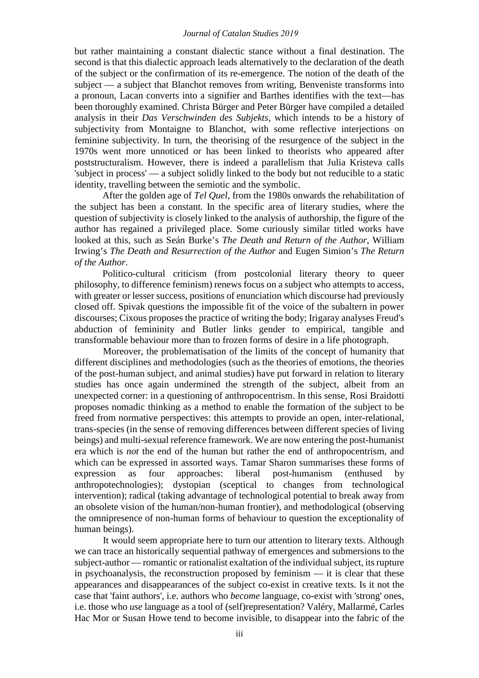#### *Journal of Catalan Studies 2019*

but rather maintaining a constant dialectic stance without a final destination. The second is that this dialectic approach leads alternatively to the declaration of the death of the subject or the confirmation of its re-emergence. The notion of the death of the subject — a subject that Blanchot removes from writing, Benveniste transforms into a pronoun, Lacan converts into a signifier and Barthes identifies with the text—has been thoroughly examined. Christa Bürger and Peter Bürger have compiled a detailed analysis in their *Das Verschwinden des Subjekts*, which intends to be a history of subjectivity from Montaigne to Blanchot, with some reflective interjections on feminine subjectivity. In turn, the theorising of the resurgence of the subject in the 1970s went more unnoticed or has been linked to theorists who appeared after poststructuralism. However, there is indeed a parallelism that Julia Kristeva calls 'subject in process' — a subject solidly linked to the body but not reducible to a static identity, travelling between the semiotic and the symbolic.

After the golden age of *Tel Quel*, from the 1980s onwards the rehabilitation of the subject has been a constant. In the specific area of literary studies, where the question of subjectivity is closely linked to the analysis of authorship, the figure of the author has regained a privileged place. Some curiously similar titled works have looked at this, such as Seán Burke's *The Death and Return of the Author*, William Irwing's *The Death and Resurrection of the Author* and Eugen Simion's *The Return of the Author*.

Politico-cultural criticism (from postcolonial literary theory to queer philosophy, to difference feminism) renews focus on a subject who attempts to access, with greater or lesser success, positions of enunciation which discourse had previously closed off. Spivak questions the impossible fit of the voice of the subaltern in power discourses; Cixous proposes the practice of writing the body; Irigaray analyses Freud's abduction of femininity and Butler links gender to empirical, tangible and transformable behaviour more than to frozen forms of desire in a life photograph.

Moreover, the problematisation of the limits of the concept of humanity that different disciplines and methodologies (such as the theories of emotions, the theories of the post-human subject, and animal studies) have put forward in relation to literary studies has once again undermined the strength of the subject, albeit from an unexpected corner: in a questioning of anthropocentrism. In this sense, Rosi Braidotti proposes nomadic thinking as a method to enable the formation of the subject to be freed from normative perspectives: this attempts to provide an open, inter-relational, trans-species (in the sense of removing differences between different species of living beings) and multi-sexual reference framework. We are now entering the post-humanist era which is *not* the end of the human but rather the end of anthropocentrism, and which can be expressed in assorted ways. Tamar Sharon summarises these forms of expression as four approaches: liberal post-humanism (enthused by anthropotechnologies); dystopian (sceptical to changes from technological intervention); radical (taking advantage of technological potential to break away from an obsolete vision of the human/non-human frontier), and methodological (observing the omnipresence of non-human forms of behaviour to question the exceptionality of human beings).

It would seem appropriate here to turn our attention to literary texts. Although we can trace an historically sequential pathway of emergences and submersions to the subject-author — romantic or rationalist exaltation of the individual subject, its rupture in psychoanalysis, the reconstruction proposed by feminism — it is clear that these appearances and disappearances of the subject co-exist in creative texts. Is it not the case that 'faint authors', i.e. authors who *become* language, co-exist with 'strong' ones, i.e. those who *use* language as a tool of (self)representation? Valéry, Mallarmé, Carles Hac Mor or Susan Howe tend to become invisible, to disappear into the fabric of the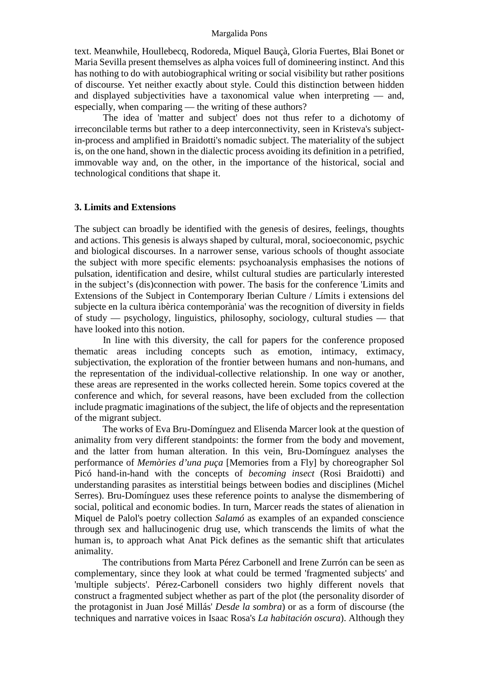#### Margalida Pons

text. Meanwhile, Houllebecq, Rodoreda, Miquel Bauçà, Gloria Fuertes, Blai Bonet or Maria Sevilla present themselves as alpha voices full of domineering instinct. And this has nothing to do with autobiographical writing or social visibility but rather positions of discourse. Yet neither exactly about style. Could this distinction between hidden and displayed subjectivities have a taxonomical value when interpreting — and, especially, when comparing — the writing of these authors?

The idea of 'matter and subject' does not thus refer to a dichotomy of irreconcilable terms but rather to a deep interconnectivity, seen in Kristeva's subjectin-process and amplified in Braidotti's nomadic subject. The materiality of the subject is, on the one hand, shown in the dialectic process avoiding its definition in a petrified, immovable way and, on the other, in the importance of the historical, social and technological conditions that shape it.

## **3. Limits and Extensions**

The subject can broadly be identified with the genesis of desires, feelings, thoughts and actions. This genesis is always shaped by cultural, moral, socioeconomic, psychic and biological discourses. In a narrower sense, various schools of thought associate the subject with more specific elements: psychoanalysis emphasises the notions of pulsation, identification and desire, whilst cultural studies are particularly interested in the subject's (dis)connection with power. The basis for the conference 'Limits and Extensions of the Subject in Contemporary Iberian Culture / Límits i extensions del subjecte en la cultura ibèrica contemporània' was the recognition of diversity in fields of study — psychology, linguistics, philosophy, sociology, cultural studies — that have looked into this notion.

In line with this diversity, the call for papers for the conference proposed thematic areas including concepts such as emotion, intimacy, extimacy, subjectivation, the exploration of the frontier between humans and non-humans, and the representation of the individual-collective relationship. In one way or another, these areas are represented in the works collected herein. Some topics covered at the conference and which, for several reasons, have been excluded from the collection include pragmatic imaginations of the subject, the life of objects and the representation of the migrant subject.

The works of Eva Bru-Domínguez and Elisenda Marcer look at the question of animality from very different standpoints: the former from the body and movement, and the latter from human alteration. In this vein, Bru-Domínguez analyses the performance of *Memòries d'una puça* [Memories from a Fly] by choreographer Sol Picó hand-in-hand with the concepts of *becoming insect* (Rosi Braidotti) and understanding parasites as interstitial beings between bodies and disciplines (Michel Serres). Bru-Domínguez uses these reference points to analyse the dismembering of social, political and economic bodies. In turn, Marcer reads the states of alienation in Miquel de Palol's poetry collection *Salamó* as examples of an expanded conscience through sex and hallucinogenic drug use, which transcends the limits of what the human is, to approach what Anat Pick defines as the semantic shift that articulates animality.

The contributions from Marta Pérez Carbonell and Irene Zurrón can be seen as complementary, since they look at what could be termed 'fragmented subjects' and 'multiple subjects'. Pérez-Carbonell considers two highly different novels that construct a fragmented subject whether as part of the plot (the personality disorder of the protagonist in Juan José Millás' *Desde la sombra*) or as a form of discourse (the techniques and narrative voices in Isaac Rosa's *La habitación oscura*). Although they